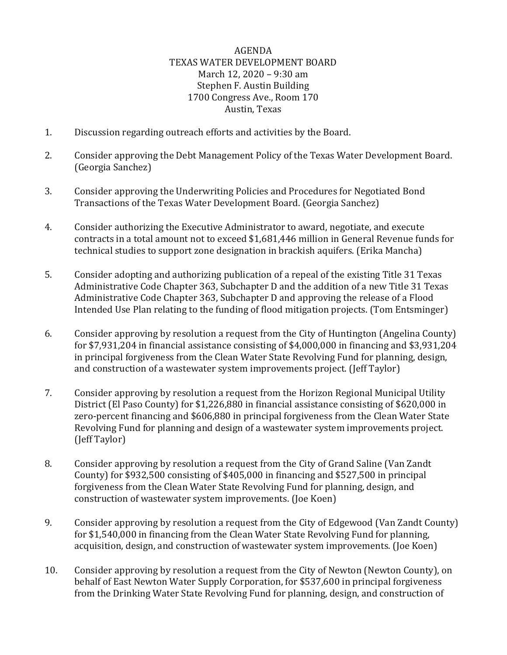## AGENDA TEXAS WATER DEVELOPMENT BOARD March 12, 2020 – 9:30 am Stephen F. Austin Building 1700 Congress Ave., Room 170 Austin, Texas

- 1. Discussion regarding outreach efforts and activities by the Board.
- 2. Consider approving the Debt Management Policy of the Texas Water Development Board. (Georgia Sanchez)
- 3. Consider approving the Underwriting Policies and Procedures for Negotiated Bond Transactions of the Texas Water Development Board. (Georgia Sanchez)
- 4. Consider authorizing the Executive Administrator to award, negotiate, and execute contracts in a total amount not to exceed \$1,681,446 million in General Revenue funds for technical studies to support zone designation in brackish aquifers. (Erika Mancha)
- 5. Consider adopting and authorizing publication of a repeal of the existing Title 31 Texas Administrative Code Chapter 363, Subchapter D and the addition of a new Title 31 Texas Administrative Code Chapter 363, Subchapter D and approving the release of a Flood Intended Use Plan relating to the funding of flood mitigation projects. (Tom Entsminger)
- 6. Consider approving by resolution a request from the City of Huntington (Angelina County) for \$7,931,204 in financial assistance consisting of \$4,000,000 in financing and \$3,931,204 in principal forgiveness from the Clean Water State Revolving Fund for planning, design, and construction of a wastewater system improvements project. (Jeff Taylor)
- 7. Consider approving by resolution a request from the Horizon Regional Municipal Utility District (El Paso County) for \$1,226,880 in financial assistance consisting of \$620,000 in zero-percent financing and \$606,880 in principal forgiveness from the Clean Water State Revolving Fund for planning and design of a wastewater system improvements project. (Jeff Taylor)
- 8. Consider approving by resolution a request from the City of Grand Saline (Van Zandt County) for \$932,500 consisting of \$405,000 in financing and \$527,500 in principal forgiveness from the Clean Water State Revolving Fund for planning, design, and construction of wastewater system improvements. (Joe Koen)
- 9. Consider approving by resolution a request from the City of Edgewood (Van Zandt County) for \$1,540,000 in financing from the Clean Water State Revolving Fund for planning, acquisition, design, and construction of wastewater system improvements. (Joe Koen)
- 10. Consider approving by resolution a request from the City of Newton (Newton County), on behalf of East Newton Water Supply Corporation, for \$537,600 in principal forgiveness from the Drinking Water State Revolving Fund for planning, design, and construction of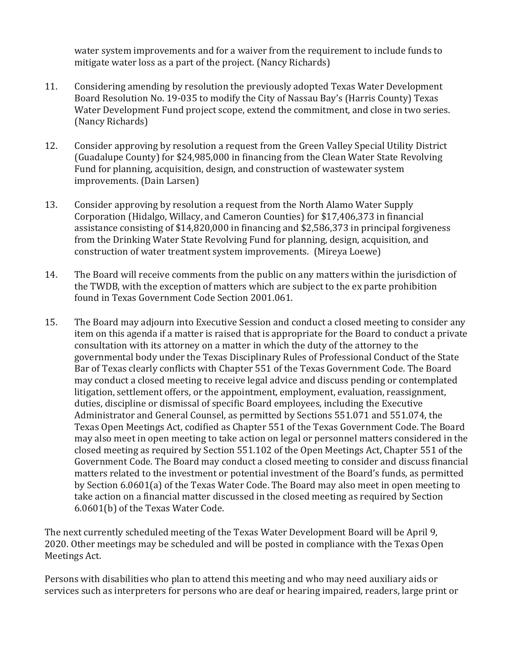water system improvements and for a waiver from the requirement to include funds to mitigate water loss as a part of the project. (Nancy Richards)

- 11. Considering amending by resolution the previously adopted Texas Water Development Board Resolution No. 19-035 to modify the City of Nassau Bay's (Harris County) Texas Water Development Fund project scope, extend the commitment, and close in two series. (Nancy Richards)
- 12. Consider approving by resolution a request from the Green Valley Special Utility District (Guadalupe County) for \$24,985,000 in financing from the Clean Water State Revolving Fund for planning, acquisition, design, and construction of wastewater system improvements. (Dain Larsen)
- 13. Consider approving by resolution a request from the North Alamo Water Supply Corporation (Hidalgo, Willacy, and Cameron Counties) for \$17,406,373 in financial assistance consisting of \$14,820,000 in financing and \$2,586,373 in principal forgiveness from the Drinking Water State Revolving Fund for planning, design, acquisition, and construction of water treatment system improvements. (Mireya Loewe)
- 14. The Board will receive comments from the public on any matters within the jurisdiction of the TWDB, with the exception of matters which are subject to the ex parte prohibition found in Texas Government Code Section 2001.061.
- 15. The Board may adjourn into Executive Session and conduct a closed meeting to consider any item on this agenda if a matter is raised that is appropriate for the Board to conduct a private consultation with its attorney on a matter in which the duty of the attorney to the governmental body under the Texas Disciplinary Rules of Professional Conduct of the State Bar of Texas clearly conflicts with Chapter 551 of the Texas Government Code. The Board may conduct a closed meeting to receive legal advice and discuss pending or contemplated litigation, settlement offers, or the appointment, employment, evaluation, reassignment, duties, discipline or dismissal of specific Board employees, including the Executive Administrator and General Counsel, as permitted by Sections 551.071 and 551.074, the Texas Open Meetings Act, codified as Chapter 551 of the Texas Government Code. The Board may also meet in open meeting to take action on legal or personnel matters considered in the closed meeting as required by Section 551.102 of the Open Meetings Act, Chapter 551 of the Government Code. The Board may conduct a closed meeting to consider and discuss financial matters related to the investment or potential investment of the Board's funds, as permitted by Section 6.0601(a) of the Texas Water Code. The Board may also meet in open meeting to take action on a financial matter discussed in the closed meeting as required by Section 6.0601(b) of the Texas Water Code.

The next currently scheduled meeting of the Texas Water Development Board will be April 9, 2020. Other meetings may be scheduled and will be posted in compliance with the Texas Open Meetings Act.

Persons with disabilities who plan to attend this meeting and who may need auxiliary aids or services such as interpreters for persons who are deaf or hearing impaired, readers, large print or